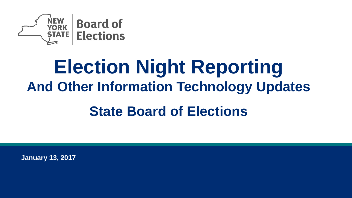

# **Election Night Reporting And Other Information Technology Updates**

### **State Board of Elections**

**January 13, 2017**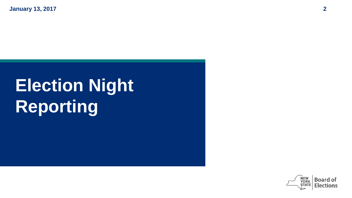# **Election Night Reporting**

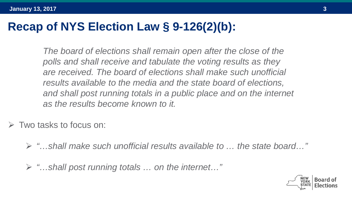### **Recap of NYS Election Law § 9-126(2)(b):**

*The board of elections shall remain open after the close of the polls and shall receive and tabulate the voting results as they are received. The board of elections shall make such unofficial results available to the media and the state board of elections, and shall post running totals in a public place and on the internet as the results become known to it.*

 $\triangleright$  Two tasks to focus on:

- *"…shall make such unofficial results available to … the state board…"*
- *"…shall post running totals … on the internet…"*

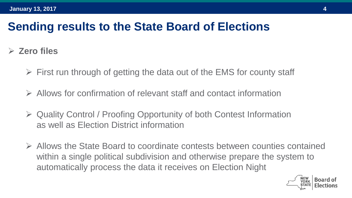#### **Sending results to the State Board of Elections**

- **Zero files**
	- $\triangleright$  First run through of getting the data out of the EMS for county staff
	- Allows for confirmation of relevant staff and contact information
	- Quality Control / Proofing Opportunity of both Contest Information as well as Election District information
	- Allows the State Board to coordinate contests between counties contained within a single political subdivision and otherwise prepare the system to automatically process the data it receives on Election Night

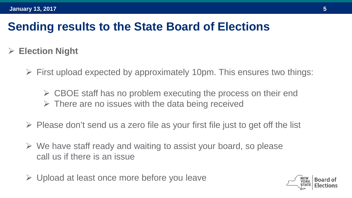#### **Sending results to the State Board of Elections**

- **Election Night**
	- $\triangleright$  First upload expected by approximately 10pm. This ensures two things:

 $\triangleright$  CBOE staff has no problem executing the process on their end  $\triangleright$  There are no issues with the data being received

- $\triangleright$  Please don't send us a zero file as your first file just to get off the list
- $\triangleright$  We have staff ready and waiting to assist your board, so please call us if there is an issue
- Upload at least once more before you leave

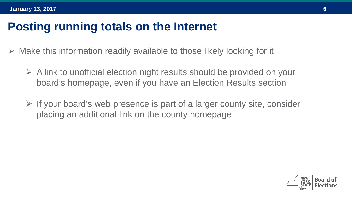#### **Posting running totals on the Internet**

- Make this information readily available to those likely looking for it
	- $\triangleright$  A link to unofficial election night results should be provided on your board's homepage, even if you have an Election Results section
	- $\triangleright$  If your board's web presence is part of a larger county site, consider placing an additional link on the county homepage

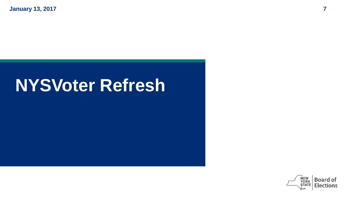### **NYSVoter Refresh**

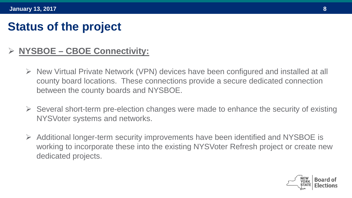#### **Status of the project**

#### **NYSBOE – CBOE Connectivity:**

- New Virtual Private Network (VPN) devices have been configured and installed at all county board locations. These connections provide a secure dedicated connection between the county boards and NYSBOE.
- $\triangleright$  Several short-term pre-election changes were made to enhance the security of existing NYSVoter systems and networks.
- Additional longer-term security improvements have been identified and NYSBOE is working to incorporate these into the existing NYSVoter Refresh project or create new dedicated projects.

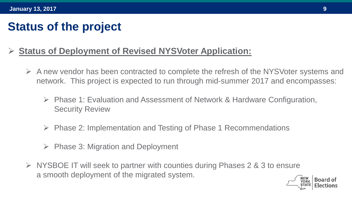#### **Status of the project**

#### **Status of Deployment of Revised NYSVoter Application:**

- $\triangleright$  A new vendor has been contracted to complete the refresh of the NYSVoter systems and network. This project is expected to run through mid-summer 2017 and encompasses:
	- $\triangleright$  Phase 1: Evaluation and Assessment of Network & Hardware Configuration, Security Review
	- $\triangleright$  Phase 2: Implementation and Testing of Phase 1 Recommendations
	- $\triangleright$  Phase 3: Migration and Deployment
- $\triangleright$  NYSBOE IT will seek to partner with counties during Phases 2 & 3 to ensure a smooth deployment of the migrated system.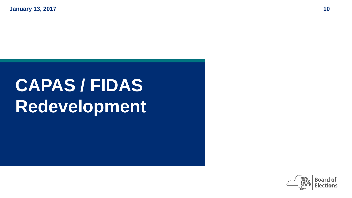## **CAPAS / FIDAS Redevelopment**

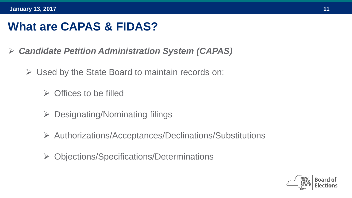### **What are CAPAS & FIDAS?**

- *Candidate Petition Administration System (CAPAS)* 
	- $\triangleright$  Used by the State Board to maintain records on:
		- $\triangleright$  Offices to be filled
		- $\triangleright$  Designating/Nominating filings
		- Authorizations/Acceptances/Declinations/Substitutions
		- Objections/Specifications/Determinations

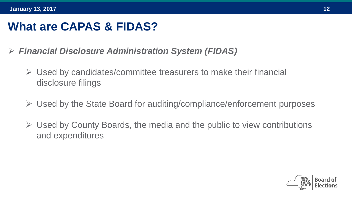### **What are CAPAS & FIDAS?**

- *Financial Disclosure Administration System (FIDAS)*
	- $\triangleright$  Used by candidates/committee treasurers to make their financial disclosure filings
	- $\triangleright$  Used by the State Board for auditing/compliance/enforcement purposes
	- $\triangleright$  Used by County Boards, the media and the public to view contributions and expenditures

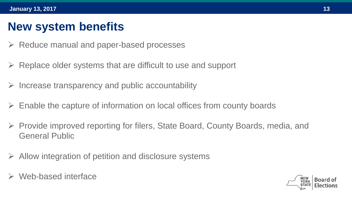#### **New system benefits**

- $\triangleright$  Reduce manual and paper-based processes
- $\triangleright$  Replace older systems that are difficult to use and support
- $\triangleright$  Increase transparency and public accountability
- Enable the capture of information on local offices from county boards
- Provide improved reporting for filers, State Board, County Boards, media, and General Public
- $\triangleright$  Allow integration of petition and disclosure systems
- Web-based interface

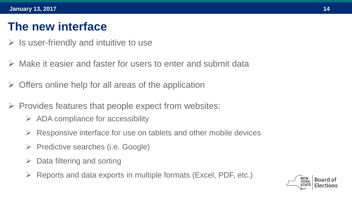#### **The new interface**

- $\triangleright$  Is user-friendly and intuitive to use
- Make it easier and faster for users to enter and submit data
- $\triangleright$  Offers online help for all areas of the application
- $\triangleright$  Provides features that people expect from websites:
	- $\triangleright$  ADA compliance for accessibility
	- $\triangleright$  Responsive interface for use on tablets and other mobile devices
	- $\triangleright$  Predictive searches (i.e. Google)
	- $\triangleright$  Data filtering and sorting
	- $\triangleright$  Reports and data exports in multiple formats (Excel, PDF, etc.)

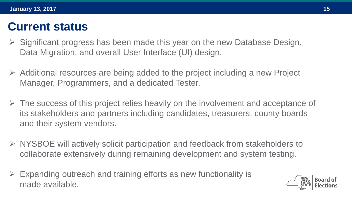#### **Current status**

- Significant progress has been made this year on the new Database Design, Data Migration, and overall User Interface (UI) design.
- $\triangleright$  Additional resources are being added to the project including a new Project Manager, Programmers, and a dedicated Tester.
- $\triangleright$  The success of this project relies heavily on the involvement and acceptance of its stakeholders and partners including candidates, treasurers, county boards and their system vendors.
- NYSBOE will actively solicit participation and feedback from stakeholders to collaborate extensively during remaining development and system testing.
- Expanding outreach and training efforts as new functionality is made available.